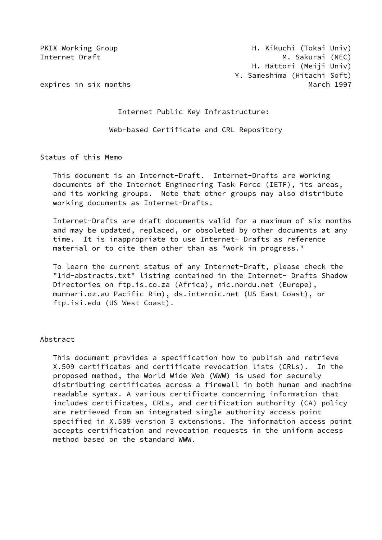Internet Public Key Infrastructure:

Web-based Certificate and CRL Repository

Status of this Memo

 This document is an Internet-Draft. Internet-Drafts are working documents of the Internet Engineering Task Force (IETF), its areas, and its working groups. Note that other groups may also distribute working documents as Internet-Drafts.

 Internet-Drafts are draft documents valid for a maximum of six months and may be updated, replaced, or obsoleted by other documents at any time. It is inappropriate to use Internet- Drafts as reference material or to cite them other than as "work in progress."

 To learn the current status of any Internet-Draft, please check the "1id-abstracts.txt" listing contained in the Internet- Drafts Shadow Directories on ftp.is.co.za (Africa), nic.nordu.net (Europe), munnari.oz.au Pacific Rim), ds.internic.net (US East Coast), or ftp.isi.edu (US West Coast).

## Abstract

 This document provides a specification how to publish and retrieve X.509 certificates and certificate revocation lists (CRLs). In the proposed method, the World Wide Web (WWW) is used for securely distributing certificates across a firewall in both human and machine readable syntax. A various certificate concerning information that includes certificates, CRLs, and certification authority (CA) policy are retrieved from an integrated single authority access point specified in X.509 version 3 extensions. The information access point accepts certification and revocation requests in the uniform access method based on the standard WWW.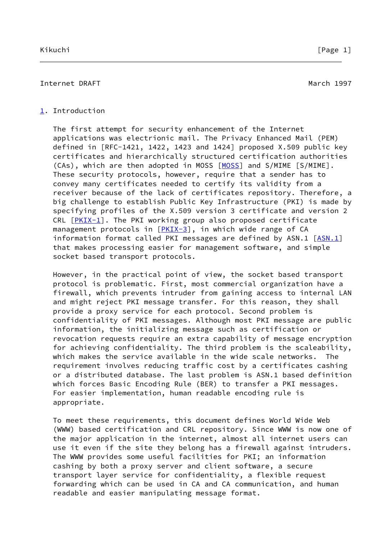## <span id="page-1-0"></span>[1](#page-1-0). Introduction

 The first attempt for security enhancement of the Internet applications was electrionic mail. The Privacy Enhanced Mail (PEM) defined in [RFC-1421, 1422, 1423 and 1424] proposed X.509 public key certificates and hierarchically structured certification authorities (CAs), which are then adopted in MOSS [[MOSS\]](#page-17-0) and S/MIME [S/MIME]. These security protocols, however, require that a sender has to convey many certificates needed to certify its validity from a receiver because of the lack of certificates repository. Therefore, a big challenge to establish Public Key Infrastructure (PKI) is made by specifying profiles of the X.509 version 3 certificate and version 2 CRL  $[PKIX-1]$  $[PKIX-1]$ . The PKI working group also proposed certificate management protocols in  $[PKIX-3]$  $[PKIX-3]$ , in which wide range of CA information format called PKI messages are defined by  $ASN.1$   $[ASN.1]$  $[ASN.1]$  that makes processing easier for management software, and simple socket based transport protocols.

 However, in the practical point of view, the socket based transport protocol is problematic. First, most commercial organization have a firewall, which prevents intruder from gaining access to internal LAN and might reject PKI message transfer. For this reason, they shall provide a proxy service for each protocol. Second problem is confidentiality of PKI messages. Although most PKI message are public information, the initializing message such as certification or revocation requests require an extra capability of message encryption for achieving confidentiality. The third problem is the scaleability, which makes the service available in the wide scale networks. The requirement involves reducing traffic cost by a certificates cashing or a distributed database. The last problem is ASN.1 based definition which forces Basic Encoding Rule (BER) to transfer a PKI messages. For easier implementation, human readable encoding rule is appropriate.

 To meet these requirements, this document defines World Wide Web (WWW) based certification and CRL repository. Since WWW is now one of the major application in the internet, almost all internet users can use it even if the site they belong has a firewall against intruders. The WWW provides some useful facilities for PKI; an information cashing by both a proxy server and client software, a secure transport layer service for confidentiality, a flexible request forwarding which can be used in CA and CA communication, and human readable and easier manipulating message format.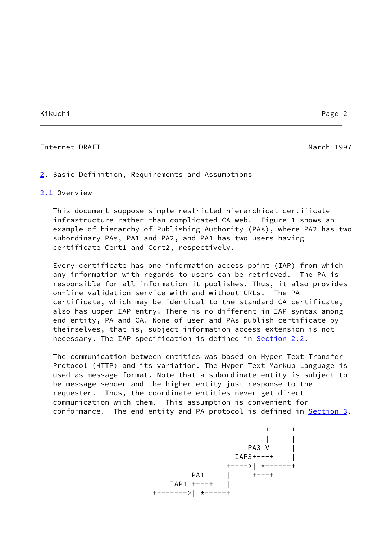#### Internet DRAFT March 1997

<span id="page-2-0"></span>[2](#page-2-0). Basic Definition, Requirements and Assumptions

## <span id="page-2-1"></span>[2.1](#page-2-1) Overview

 This document suppose simple restricted hierarchical certificate infrastructure rather than complicated CA web. Figure 1 shows an example of hierarchy of Publishing Authority (PAs), where PA2 has two subordinary PAs, PA1 and PA2, and PA1 has two users having certificate Cert1 and Cert2, respectively.

 Every certificate has one information access point (IAP) from which any information with regards to users can be retrieved. The PA is responsible for all information it publishes. Thus, it also provides on-line validation service with and without CRLs. The PA certificate, which may be identical to the standard CA certificate, also has upper IAP entry. There is no different in IAP syntax among end entity, PA and CA. None of user and PAs publish certificate by theirselves, that is, subject information access extension is not necessary. The IAP specification is defined in [Section 2.2](#page-3-0).

 The communication between entities was based on Hyper Text Transfer Protocol (HTTP) and its variation. The Hyper Text Markup Language is used as message format. Note that a subordinate entity is subject to be message sender and the higher entity just response to the requester. Thus, the coordinate entities never get direct communication with them. This assumption is convenient for conformance. The end entity and PA protocol is defined in [Section 3.](#page-6-0)

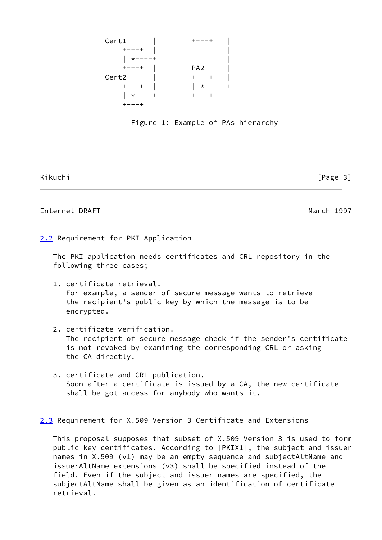



Kikuchi [Page 3]

## Internet DRAFT March 1997

<span id="page-3-0"></span>[2.2](#page-3-0) Requirement for PKI Application

 The PKI application needs certificates and CRL repository in the following three cases;

- 1. certificate retrieval. For example, a sender of secure message wants to retrieve the recipient's public key by which the message is to be encrypted.
- 2. certificate verification. The recipient of secure message check if the sender's certificate is not revoked by examining the corresponding CRL or asking the CA directly.
- 3. certificate and CRL publication. Soon after a certificate is issued by a CA, the new certificate shall be got access for anybody who wants it.

<span id="page-3-1"></span>[2.3](#page-3-1) Requirement for X.509 Version 3 Certificate and Extensions

 This proposal supposes that subset of X.509 Version 3 is used to form public key certificates. According to [PKIX1], the subject and issuer names in X.509 (v1) may be an empty sequence and subjectAltName and issuerAltName extensions (v3) shall be specified instead of the field. Even if the subject and issuer names are specified, the subjectAltName shall be given as an identification of certificate retrieval.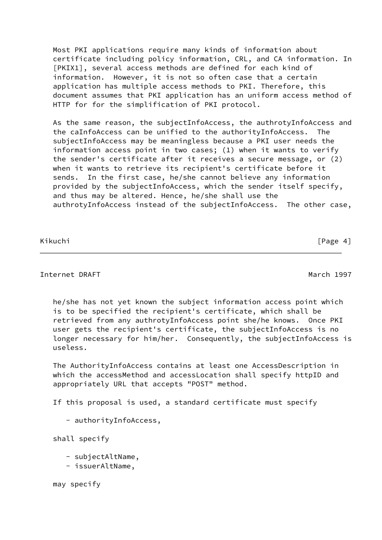Most PKI applications require many kinds of information about certificate including policy information, CRL, and CA information. In [PKIX1], several access methods are defined for each kind of information. However, it is not so often case that a certain application has multiple access methods to PKI. Therefore, this document assumes that PKI application has an uniform access method of HTTP for for the simplification of PKI protocol.

 As the same reason, the subjectInfoAccess, the authrotyInfoAccess and the caInfoAccess can be unified to the authorityInfoAccess. The subjectInfoAccess may be meaningless because a PKI user needs the information access point in two cases; (1) when it wants to verify the sender's certificate after it receives a secure message, or (2) when it wants to retrieve its recipient's certificate before it sends. In the first case, he/she cannot believe any information provided by the subjectInfoAccess, which the sender itself specify, and thus may be altered. Hence, he/she shall use the authrotyInfoAccess instead of the subjectInfoAccess. The other case,

Kikuchi **[Page 4]** 

## Internet DRAFT March 1997

 he/she has not yet known the subject information access point which is to be specified the recipient's certificate, which shall be retrieved from any authrotyInfoAccess point she/he knows. Once PKI user gets the recipient's certificate, the subjectInfoAccess is no longer necessary for him/her. Consequently, the subjectInfoAccess is useless.

 The AuthorityInfoAccess contains at least one AccessDescription in which the accessMethod and accessLocation shall specify httpID and appropriately URL that accepts "POST" method.

If this proposal is used, a standard certificate must specify

- authorityInfoAccess,

shall specify

- subjectAltName,
- issuerAltName,

may specify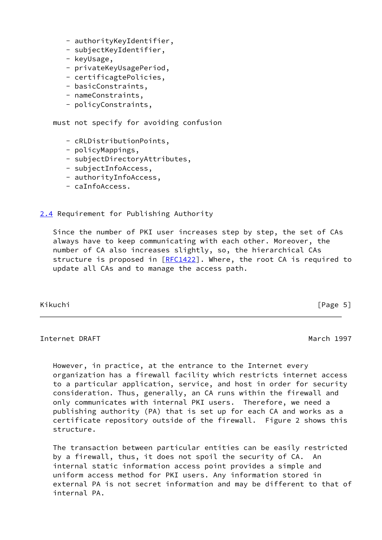- authorityKeyIdentifier,
- subjectKeyIdentifier,
- keyUsage,
- privateKeyUsagePeriod,
- certificagtePolicies,
- basicConstraints,
- nameConstraints,
- policyConstraints,

must not specify for avoiding confusion

- cRLDistributionPoints,
- policyMappings,
- subjectDirectoryAttributes,
- subjectInfoAccess,
- authorityInfoAccess,
- caInfoAccess.

<span id="page-5-0"></span>[2.4](#page-5-0) Requirement for Publishing Authority

 Since the number of PKI user increases step by step, the set of CAs always have to keep communicating with each other. Moreover, the number of CA also increases slightly, so, the hierarchical CAs structure is proposed in  $[REC1422]$ . Where, the root CA is required to update all CAs and to manage the access path.

Kikuchi [Page 5]

Internet DRAFT March 1997

 However, in practice, at the entrance to the Internet every organization has a firewall facility which restricts internet access to a particular application, service, and host in order for security consideration. Thus, generally, an CA runs within the firewall and only communicates with internal PKI users. Therefore, we need a publishing authority (PA) that is set up for each CA and works as a certificate repository outside of the firewall. Figure 2 shows this structure.

 The transaction between particular entities can be easily restricted by a firewall, thus, it does not spoil the security of CA. An internal static information access point provides a simple and uniform access method for PKI users. Any information stored in external PA is not secret information and may be different to that of internal PA.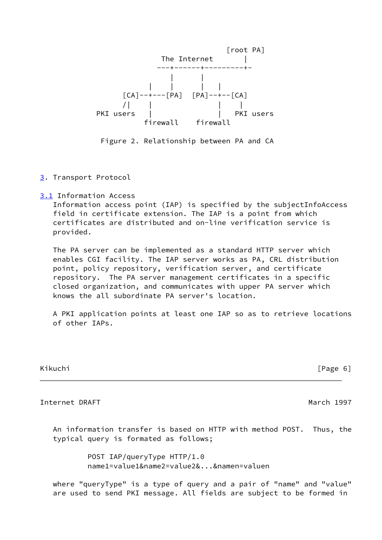

Figure 2. Relationship between PA and CA

- <span id="page-6-0"></span>[3](#page-6-0). Transport Protocol
- <span id="page-6-1"></span>[3.1](#page-6-1) Information Access

 Information access point (IAP) is specified by the subjectInfoAccess field in certificate extension. The IAP is a point from which certificates are distributed and on-line verification service is provided.

 The PA server can be implemented as a standard HTTP server which enables CGI facility. The IAP server works as PA, CRL distribution point, policy repository, verification server, and certificate repository. The PA server management certificates in a specific closed organization, and communicates with upper PA server which knows the all subordinate PA server's location.

 A PKI application points at least one IAP so as to retrieve locations of other IAPs.

Kikuchi [Page 6]

Internet DRAFT March 1997

 An information transfer is based on HTTP with method POST. Thus, the typical query is formated as follows;

> POST IAP/queryType HTTP/1.0 name1=value1&name2=value2&...&namen=valuen

 where "queryType" is a type of query and a pair of "name" and "value" are used to send PKI message. All fields are subject to be formed in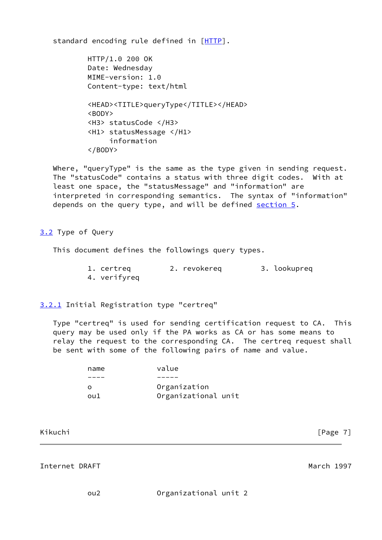standard encoding rule defined in [[HTTP\]](#page-18-1).

 HTTP/1.0 200 OK Date: Wednesday MIME-version: 1.0 Content-type: text/html <HEAD><TITLE>queryType</TITLE></HEAD> <BODY> <H3> statusCode </H3> <H1> statusMessage </H1> information </BODY>

 Where, "queryType" is the same as the type given in sending request. The "statusCode" contains a status with three digit codes. With at least one space, the "statusMessage" and "information" are interpreted in corresponding semantics. The syntax of "information" depends on the query type, and will be defined [section 5.](#page-14-0)

<span id="page-7-0"></span>[3.2](#page-7-0) Type of Query

This document defines the followings query types.

 1. certreq 2. revokereq 3. lookupreq 4. verifyreq

<span id="page-7-1"></span>[3.2.1](#page-7-1) Initial Registration type "certreq"

 Type "certreq" is used for sending certification request to CA. This query may be used only if the PA works as CA or has some means to relay the request to the corresponding CA. The certreq request shall be sent with some of the following pairs of name and value.

| Organizational unit |
|---------------------|
|                     |

Internet DRAFT March 1997

ou2 Organizational unit 2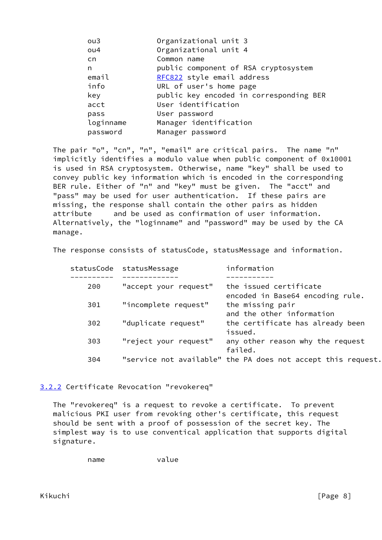| ou <sub>3</sub> | Organizational unit 3                   |
|-----------------|-----------------------------------------|
| ou4             | Organizational unit 4                   |
| cn.             | Common name                             |
| n               | public component of RSA cryptosystem    |
| email           | RFC822 style email address              |
| info            | URL of user's home page                 |
| key             | public key encoded in corresponding BER |
| acct            | User identification                     |
| pass            | User password                           |
| loginname       | Manager identification                  |
| password        | Manager password                        |

 The pair "o", "cn", "n", "email" are critical pairs. The name "n" implicitly identifies a modulo value when public component of 0x10001 is used in RSA cryptosystem. Otherwise, name "key" shall be used to convey public key information which is encoded in the corresponding BER rule. Either of "n" and "key" must be given. The "acct" and "pass" may be used for user authentication. If these pairs are missing, the response shall contain the other pairs as hidden attribute and be used as confirmation of user information. Alternatively, the "loginname" and "password" may be used by the CA manage.

The response consists of statusCode, statusMessage and information.

|     | statusCode statusMessage | information                                                  |
|-----|--------------------------|--------------------------------------------------------------|
|     |                          |                                                              |
| 200 | "accept your request"    | the issued certificate<br>encoded in Base64 encoding rule.   |
| 301 | "incomplete request"     | the missing pair<br>and the other information                |
| 302 | "duplicate request"      | the certificate has already been<br>issued.                  |
| 303 | "reject your request"    | any other reason why the request<br>failed.                  |
| 304 |                          | "service not available" the PA does not accept this request. |

## <span id="page-8-0"></span>[3.2.2](#page-8-0) Certificate Revocation "revokereq"

 The "revokereq" is a request to revoke a certificate. To prevent malicious PKI user from revoking other's certificate, this request should be sent with a proof of possession of the secret key. The simplest way is to use conventical application that supports digital signature.

name value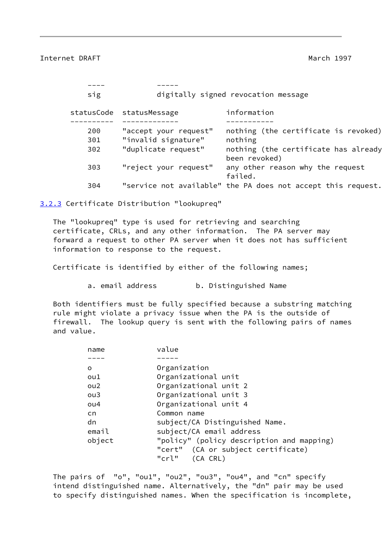Internet DRAFT March 1997

| sig        |                       | digitally signed revocation message                          |
|------------|-----------------------|--------------------------------------------------------------|
| statusCode | statusMessage         | information                                                  |
| 200        | "accept your request" | nothing (the certificate is revoked)                         |
| 301        | "invalid signature"   | nothing                                                      |
| 302        | "duplicate request"   | nothing (the certificate has already<br>been revoked)        |
| 303        | "reject your request" | any other reason why the request<br>failed.                  |
| 304        |                       | "service not available" the PA does not accept this request. |

<span id="page-9-0"></span>[3.2.3](#page-9-0) Certificate Distribution "lookupreq"

 The "lookupreq" type is used for retrieving and searching certificate, CRLs, and any other information. The PA server may forward a request to other PA server when it does not has sufficient information to response to the request.

Certificate is identified by either of the following names;

a. email address b. Distinguished Name

 Both identifiers must be fully specified because a substring matching rule might violate a privacy issue when the PA is the outside of firewall. The lookup query is sent with the following pairs of names and value.

| name   | value                                     |
|--------|-------------------------------------------|
|        |                                           |
| o      | Organization                              |
| ou1    | Organizational unit                       |
| ou2    | Organizational unit 2                     |
| ou3    | Organizational unit 3                     |
| ou4    | Organizational unit 4                     |
| cn.    | Common name                               |
| dn     | subject/CA Distinguished Name.            |
| email  | subject/CA email address                  |
| object | "policy" (policy description and mapping) |
|        | "cert" (CA or subject certificate)        |
|        | "crl"<br>(CA CRL)                         |

 The pairs of "o", "ou1", "ou2", "ou3", "ou4", and "cn" specify intend distinguished name. Alternatively, the "dn" pair may be used to specify distinguished names. When the specification is incomplete,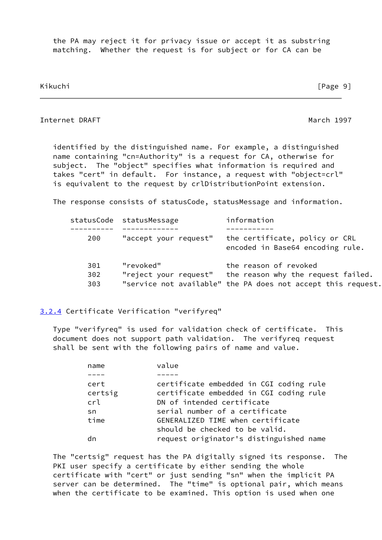the PA may reject it for privacy issue or accept it as substring matching. Whether the request is for subject or for CA can be

Kikuchi [Page 9]

## Internet DRAFT March 1997

 identified by the distinguished name. For example, a distinguished name containing "cn=Authority" is a request for CA, otherwise for subject. The "object" specifies what information is required and takes "cert" in default. For instance, a request with "object=crl" is equivalent to the request by crlDistributionPoint extension.

The response consists of statusCode, statusMessage and information.

|                   | statusCode statusMessage           | information                                                                                                                 |
|-------------------|------------------------------------|-----------------------------------------------------------------------------------------------------------------------------|
| 200               | "accept your request"              | the certificate, policy or CRL<br>encoded in Base64 encoding rule.                                                          |
| 301<br>302<br>303 | "revoked"<br>"reject your request" | the reason of revoked<br>the reason why the request failed.<br>"service not available" the PA does not accept this request. |

## <span id="page-10-0"></span>[3.2.4](#page-10-0) Certificate Verification "verifyreq"

 Type "verifyreq" is used for validation check of certificate. This document does not support path validation. The verifyreq request shall be sent with the following pairs of name and value.

| name    | value                                   |
|---------|-----------------------------------------|
|         |                                         |
| cert    | certificate embedded in CGI coding rule |
| certsig | certificate embedded in CGI coding rule |
| crl     | DN of intended certificate              |
| sn      | serial number of a certificate          |
| time    | GENERALIZED TIME when certificate       |
|         | should be checked to be valid.          |
|         | request originator's distinguished name |

 The "certsig" request has the PA digitally signed its response. The PKI user specify a certificate by either sending the whole certificate with "cert" or just sending "sn" when the implicit PA server can be determined. The "time" is optional pair, which means when the certificate to be examined. This option is used when one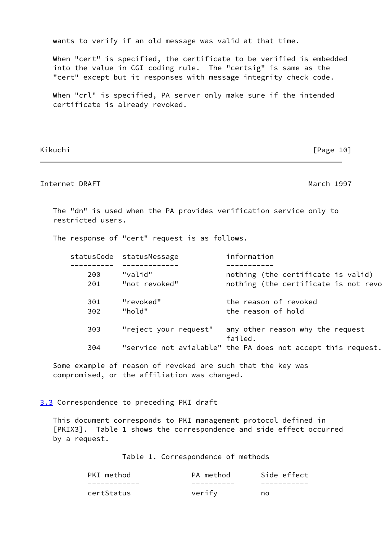wants to verify if an old message was valid at that time.

 When "cert" is specified, the certificate to be verified is embedded into the value in CGI coding rule. The "certsig" is same as the "cert" except but it responses with message integrity check code.

 When "crl" is specified, PA server only make sure if the intended certificate is already revoked.

Kikuchi [Page 10]

# Internet DRAFT March 1997

 The "dn" is used when the PA provides verification service only to restricted users.

The response of "cert" request is as follows.

|     | statusCode statusMessage | information                                                  |
|-----|--------------------------|--------------------------------------------------------------|
|     |                          |                                                              |
| 200 | "valid"                  | nothing (the certificate is valid)                           |
| 201 | "not revoked"            | nothing (the certificate is not revo                         |
| 301 | "revoked"                | the reason of revoked                                        |
| 302 | "hold"                   | the reason of hold                                           |
| 303 | "reject your request"    | any other reason why the request<br>failed.                  |
| 304 |                          | "service not avialable" the PA does not accept this request. |

 Some example of reason of revoked are such that the key was compromised, or the affiliation was changed.

<span id="page-11-0"></span>[3.3](#page-11-0) Correspondence to preceding PKI draft

 This document corresponds to PKI management protocol defined in [PKIX3]. Table 1 shows the correspondence and side effect occurred by a request.

Table 1. Correspondence of methods

| PKI method | PA method | Side effect |
|------------|-----------|-------------|
|            |           |             |
| certStatus | verify    | no          |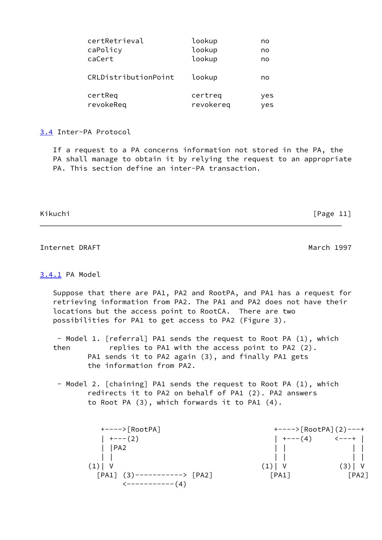| certRetrieval        | lookup    | no  |
|----------------------|-----------|-----|
| caPolicy             | lookup    | no  |
| caCert               | lookup    | no  |
| CRLDistributionPoint | lookup    | no  |
| certReq              | certreq   | yes |
| revokeReq            | revokereg | yes |

<span id="page-12-0"></span>[3.4](#page-12-0) Inter-PA Protocol

 If a request to a PA concerns information not stored in the PA, the PA shall manage to obtain it by relying the request to an appropriate PA. This section define an inter-PA transaction.

Kikuchi [Page 11]

# Internet DRAFT March 1997

## <span id="page-12-1"></span>[3.4.1](#page-12-1) PA Model

 Suppose that there are PA1, PA2 and RootPA, and PA1 has a request for retrieving information from PA2. The PA1 and PA2 does not have their locations but the access point to RootCA. There are two possibilities for PA1 to get access to PA2 (Figure 3).

 - Model 1. [referral] PA1 sends the request to Root PA (1), which then replies to PA1 with the access point to PA2 (2). PA1 sends it to PA2 again (3), and finally PA1 gets the information from PA2.

 - Model 2. [chaining] PA1 sends the request to Root PA (1), which redirects it to PA2 on behalf of PA1 (2). PA2 answers to Root PA (3), which forwards it to PA1 (4).

| +---->[RootPA]                                          | $+--->$ [RootPA] (2) ---+ |                             |
|---------------------------------------------------------|---------------------------|-----------------------------|
| $+---(2)$                                               | $+---(4)$                 | $\leftarrow$ $  +$ $\left $ |
| PA2                                                     |                           |                             |
|                                                         |                           |                             |
|                                                         | (1)  V                    | (3)  V                      |
| $\lceil PA1 \rceil$ (3)-----------> $\lceil PA2 \rceil$ | [PA1]                     | [PA2]                       |
| <------------(4)                                        |                           |                             |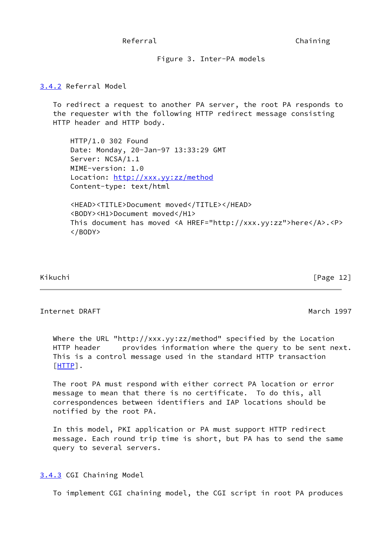## Referral **Chaining**

Figure 3. Inter-PA models

## <span id="page-13-0"></span>[3.4.2](#page-13-0) Referral Model

 To redirect a request to another PA server, the root PA responds to the requester with the following HTTP redirect message consisting HTTP header and HTTP body.

 HTTP/1.0 302 Found Date: Monday, 20-Jan-97 13:33:29 GMT Server: NCSA/1.1 MIME-version: 1.0 Location:<http://xxx.yy:zz/method> Content-type: text/html

 <HEAD><TITLE>Document moved</TITLE></HEAD> <BODY><H1>Document moved</H1> This document has moved <A HREF="http://xxx.yy:zz">here</A>.<P> </BODY>

Kikuchi [Page 12]

#### Internet DRAFT March 1997

 Where the URL "http://xxx.yy:zz/method" specified by the Location HTTP header provides information where the query to be sent next. This is a control message used in the standard HTTP transaction [\[HTTP](#page-18-1)].

 The root PA must respond with either correct PA location or error message to mean that there is no certificate. To do this, all correspondences between identifiers and IAP locations should be notified by the root PA.

 In this model, PKI application or PA must support HTTP redirect message. Each round trip time is short, but PA has to send the same query to several servers.

<span id="page-13-1"></span>[3.4.3](#page-13-1) CGI Chaining Model

To implement CGI chaining model, the CGI script in root PA produces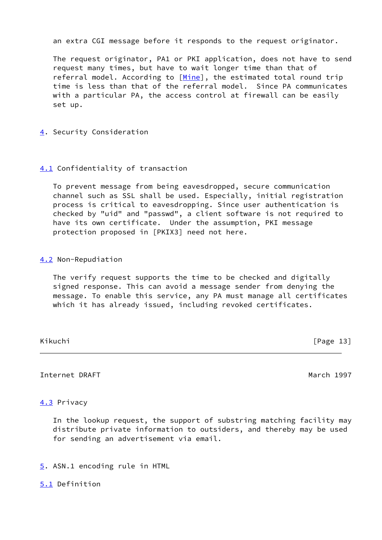an extra CGI message before it responds to the request originator.

 The request originator, PA1 or PKI application, does not have to send request many times, but have to wait longer time than that of referral model. According to [\[Mine](#page-18-2)], the estimated total round trip time is less than that of the referral model. Since PA communicates with a particular PA, the access control at firewall can be easily set up.

<span id="page-14-1"></span>[4](#page-14-1). Security Consideration

## <span id="page-14-2"></span>[4.1](#page-14-2) Confidentiality of transaction

 To prevent message from being eavesdropped, secure communication channel such as SSL shall be used. Especially, initial registration process is critical to eavesdropping. Since user authentication is checked by "uid" and "passwd", a client software is not required to have its own certificate. Under the assumption, PKI message protection proposed in [PKIX3] need not here.

## <span id="page-14-3"></span>[4.2](#page-14-3) Non-Repudiation

 The verify request supports the time to be checked and digitally signed response. This can avoid a message sender from denying the message. To enable this service, any PA must manage all certificates which it has already issued, including revoked certificates.

Kikuchi [Page 13]

Internet DRAFT March 1997

## <span id="page-14-4"></span>[4.3](#page-14-4) Privacy

 In the lookup request, the support of substring matching facility may distribute private information to outsiders, and thereby may be used for sending an advertisement via email.

<span id="page-14-0"></span>[5](#page-14-0). ASN.1 encoding rule in HTML

<span id="page-14-5"></span>[5.1](#page-14-5) Definition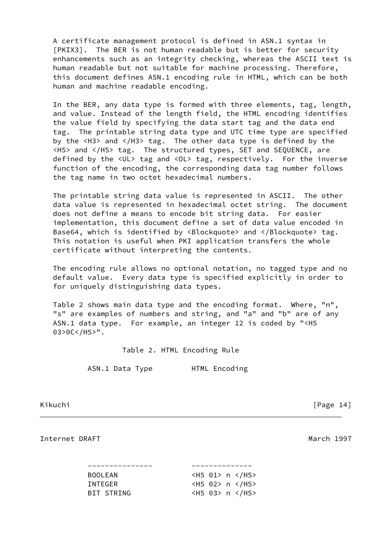A certificate management protocol is defined in ASN.1 syntax in [PKIX3]. The BER is not human readable but is better for security enhancements such as an integrity checking, whereas the ASCII text is human readable but not suitable for machine processing. Therefore, this document defines ASN.1 encoding rule in HTML, which can be both human and machine readable encoding.

 In the BER, any data type is formed with three elements, tag, length, and value. Instead of the length field, the HTML encoding identifies the value field by specifying the data start tag and the data end tag. The printable string data type and UTC time type are specified by the <H3> and </H3> tag. The other data type is defined by the <H5> and </H5> tag. The structured types, SET and SEQUENCE, are defined by the <UL> tag and <OL> tag, respectively. For the inverse function of the encoding, the corresponding data tag number follows the tag name in two octet hexadecimal numbers.

 The printable string data value is represented in ASCII. The other data value is represented in hexadecimal octet string. The document does not define a means to encode bit string data. For easier implementation, this document define a set of data value encoded in Base64, which is identified by <Blockquote> and </Blockquote> tag. This notation is useful when PKI application transfers the whole certificate without interpreting the contents.

 The encoding rule allows no optional notation, no tagged type and no default value. Every data type is specified explicitly in order to for uniquely distinguishing data types.

 Table 2 shows main data type and the encoding format. Where, "n", "s" are examples of numbers and string, and "a" and "b" are of any ASN.1 data type. For example, an integer 12 is coded by "<H5 03>0C</H5>".

Table 2. HTML Encoding Rule

ASN.1 Data Type HTML Encoding

Kikuchi [Page 14]

Internet DRAFT March 1997

 --------------- -------------- BOOLEAN <H5 01> n </H5> INTEGER <H5 02> n </H5> BIT STRING <H5 03> n </H5>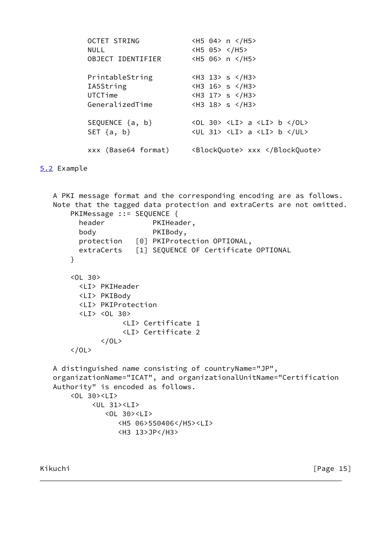```
OCTET STRING <H5 04> n </H5>
NULL <H5 05> </H5>
 OBJECT IDENTIFIER <H5 06> n </H5>
PrintableString <H3 13> s </H3>
 IA5String <H3 16> s </H3>
UTCTime <H3 17> s </H3>
GeneralizedTime <H3 18> s </H3>
SEQUENCE \{a, b\} <0L 30> <LI> a <LI> b </0L>
SET \{a, b\} <UL 31> <LI> a <LI> b </UL>
 xxx (Base64 format) <BlockQuote> xxx </BlockQuote>
```

```
5.2 Example
```

```
 A PKI message format and the corresponding encoding are as follows.
 Note that the tagged data protection and extraCerts are not omitted.
    PKIMessage ::= SEQUENCE {
      header PKIHeader,
       body PKIBody,
       protection [0] PKIProtection OPTIONAL,
       extraCerts [1] SEQUENCE OF Certificate OPTIONAL
     }
     <OL 30>
       <LI> PKIHeader
       <LI> PKIBody
       <LI> PKIProtection
      \langleLI> \langleOL 30>
                 <LI> Certificate 1
                 <LI> Certificate 2
           </0L></0L> A distinguished name consisting of countryName="JP",
 organizationName="ICAT", and organizationalUnitName="Certification
 Authority" is encoded as follows.
     <OL 30><LI>
          <UL 31><LI>
             <OL 30><LI>
                <H5 06>550406</H5><LI>
                <H3 13>JP</H3>
```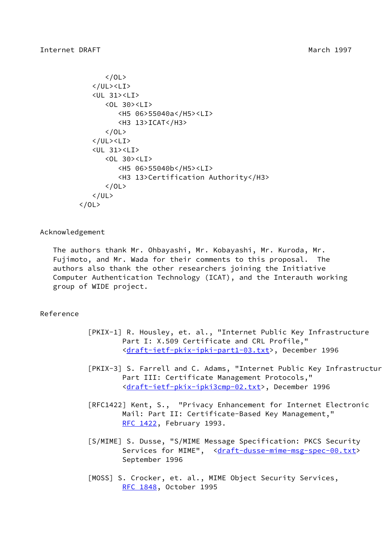```
\langle/0L\rangle\langle/UL>\langleLI>
     <UL 31><LI>
         <OL 30><LI>
             <H5 06>55040a</H5><LI>
             <H3 13>ICAT</H3>
        </0L> </UL><LI>
     <UL 31><LI>
         <OL 30><LI>
             <H5 06>55040b</H5><LI>
             <H3 13>Certification Authority</H3>
        \langle/0L\rangle\langle/UL\rangle</0L>
```
Acknowledgement

 The authors thank Mr. Ohbayashi, Mr. Kobayashi, Mr. Kuroda, Mr. Fujimoto, and Mr. Wada for their comments to this proposal. The authors also thank the other researchers joining the Initiative Computer Authentication Technology (ICAT), and the Interauth working group of WIDE project.

## Reference

- <span id="page-17-1"></span> [PKIX-1] R. Housley, et. al., "Internet Public Key Infrastructure Part I: X.509 Certificate and CRL Profile," [<draft-ietf-pkix-ipki-part1-03.txt](https://datatracker.ietf.org/doc/pdf/draft-ietf-pkix-ipki-part1-03.txt)>, December 1996
- <span id="page-17-2"></span>[PKIX-3] S. Farrell and C. Adams, "Internet Public Key Infrastructur Part III: Certificate Management Protocols," [<draft-ietf-pkix-ipki3cmp-02.txt](https://datatracker.ietf.org/doc/pdf/draft-ietf-pkix-ipki3cmp-02.txt)>, December 1996
- [RFC1422] Kent, S., "Privacy Enhancement for Internet Electronic Mail: Part II: Certificate-Based Key Management," [RFC 1422](https://datatracker.ietf.org/doc/pdf/rfc1422), February 1993.
- [S/MIME] S. Dusse, "S/MIME Message Specification: PKCS Security Services for MIME", [<draft-dusse-mime-msg-spec-00.txt](https://datatracker.ietf.org/doc/pdf/draft-dusse-mime-msg-spec-00.txt)> September 1996
- <span id="page-17-0"></span> [MOSS] S. Crocker, et. al., MIME Object Security Services, [RFC 1848](https://datatracker.ietf.org/doc/pdf/rfc1848), October 1995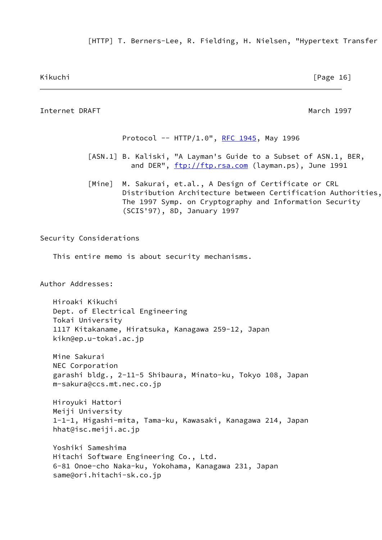<span id="page-18-1"></span>[HTTP] T. Berners-Lee, R. Fielding, H. Nielsen, "Hypertext Transfer

Kikuchi [Page 16]

<span id="page-18-2"></span><span id="page-18-0"></span>Internet DRAFT March 1997 Protocol -- HTTP/1.0", [RFC 1945,](https://datatracker.ietf.org/doc/pdf/rfc1945) May 1996 [ASN.1] B. Kaliski, "A Layman's Guide to a Subset of ASN.1, BER, and DER", <ftp://ftp.rsa.com>(layman.ps), June 1991 [Mine] M. Sakurai, et.al., A Design of Certificate or CRL Distribution Architecture between Certification Authorities, The 1997 Symp. on Cryptography and Information Security (SCIS'97), 8D, January 1997 Security Considerations This entire memo is about security mechanisms. Author Addresses: Hiroaki Kikuchi Dept. of Electrical Engineering Tokai University 1117 Kitakaname, Hiratsuka, Kanagawa 259-12, Japan kikn@ep.u-tokai.ac.jp Mine Sakurai NEC Corporation garashi bldg., 2-11-5 Shibaura, Minato-ku, Tokyo 108, Japan m-sakura@ccs.mt.nec.co.jp Hiroyuki Hattori Meiji University 1-1-1, Higashi-mita, Tama-ku, Kawasaki, Kanagawa 214, Japan hhat@isc.meiji.ac.jp Yoshiki Sameshima Hitachi Software Engineering Co., Ltd. 6-81 Onoe-cho Naka-ku, Yokohama, Kanagawa 231, Japan same@ori.hitachi-sk.co.jp